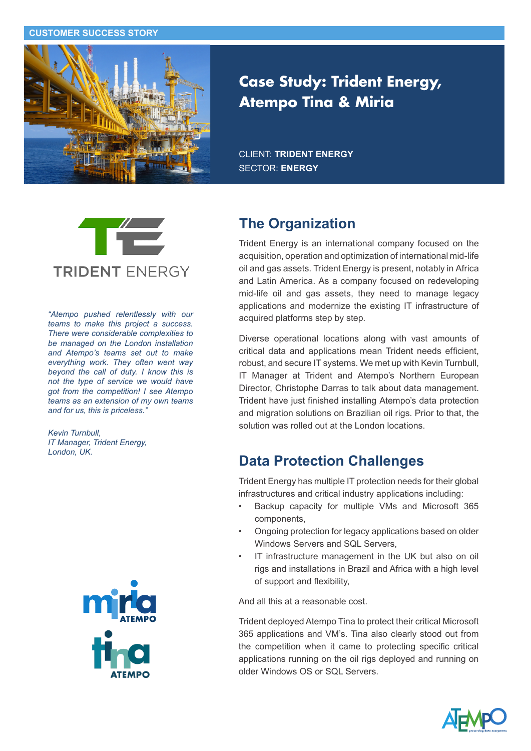#### **CUSTOMER SUCCESS STORY**



# **Case Study: Trident Energy, Atempo Tina & Miria**

CLIENT: **TRIDENT ENERGY** SECTOR: **ENERGY**



*"Atempo pushed relentlessly with our teams to make this project a success. There were considerable complexities to be managed on the London installation and Atempo's teams set out to make everything work. They often went way beyond the call of duty. I know this is not the type of service we would have got from the competition! I see Atempo teams as an extension of my own teams and for us, this is priceless."* 

*Kevin Turnbull, IT Manager, Trident Energy, London, UK.*



#### **The Organization**

Trident Energy is an international company focused on the acquisition, operation and optimization of international mid-life oil and gas assets. Trident Energy is present, notably in Africa and Latin America. As a company focused on redeveloping mid-life oil and gas assets, they need to manage legacy applications and modernize the existing IT infrastructure of acquired platforms step by step.

Diverse operational locations along with vast amounts of critical data and applications mean Trident needs efficient, robust, and secure IT systems. We met up with Kevin Turnbull, IT Manager at Trident and Atempo's Northern European Director, Christophe Darras to talk about data management. Trident have just finished installing Atempo's data protection and migration solutions on Brazilian oil rigs. Prior to that, the solution was rolled out at the London locations.

## **Data Protection Challenges**

Trident Energy has multiple IT protection needs for their global infrastructures and critical industry applications including:

- Backup capacity for multiple VMs and Microsoft 365 components,
- Ongoing protection for legacy applications based on older Windows Servers and SQL Servers,
- IT infrastructure management in the UK but also on oil rigs and installations in Brazil and Africa with a high level of support and flexibility,

And all this at a reasonable cost.

Trident deployed Atempo Tina to protect their critical Microsoft 365 applications and VM's. Tina also clearly stood out from the competition when it came to protecting specific critical applications running on the oil rigs deployed and running on older Windows OS or SQL Servers.